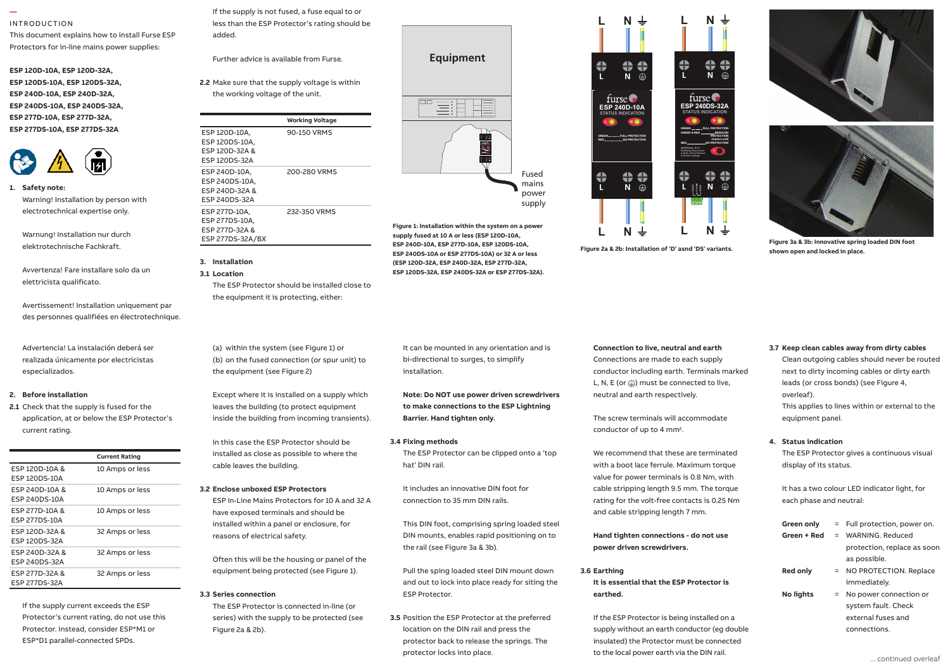#### **—**  INTRODUCTION

This document explains how to install Furse ESP Protectors for in-line mains power supplies:

**ESP 120D-10A, ESP 120D-32A, ESP 120DS-10A, ESP 120DS-32A, ESP 240D-10A, ESP 240D-32A,**  Installation instructions ESP 240DS-10A, ESP 240DS-32A, **ESP 277D-10A, ESP 277D-32A, ESP 277DS-10A, ESP 277DS-32A**



**1. Safety note:** Safety note: Warning! Installation by person with E electrotechnical expertise only. 1.5 Units installed at power distribution - on the close out of the close available out of the case of the case of the case of the case of the case of the case of the case of the case of the case of the case of the case of the case of the case of the case of the c

Warnung! Installation nur durch elektrotechnische Fachkraft. des personnes qualifiées en électrotechnique.

Avvertenza! Fare installare solo da un and ser elettricista qualificato. (up to 125 Amps) ensuring full

Avertissement! Installation uniquement par des personnes qualifiées en électrotechnique.

Advertencia! La instalación deberá ser<br>
(a especializados. and display. realizada únicamente por electricistas

#### distribution panel or directly alongside it. **2. Before installation**

**2.1** Check that the supply is fused for the leaders  $1.3$  Current rating. application, at or below the ESP Protector's i

|                                            | <b>Current Rating</b> |
|--------------------------------------------|-----------------------|
| ESP 120D-10A &<br><b>FSP 120DS-10A</b>     | 10 Amps or less       |
| ESP 240D-10A &<br>ESP 240DS-10A            | 10 Amps or less       |
| ESP 277D-10A &<br><b>FSP 277DS-10A</b>     | 10 Amps or less       |
| <b>FSP 120D-32A &amp;</b><br>ESP 120DS-32A | 32 Amps or less       |
| ESP 240D-32A &<br>ESP 240DS-32A            | 32 Amps or less       |
| ESP 277D-32A &<br><b>ESP 277DS-32A</b>     | 32 Amps or less       |

If the supply current exceeds the ESP Protector's current rating, do not use this Protector. Instead, consider ESP\*M1 or ESP\*D1 parallel-connected SPDs.

If the supply is not fused, a fuse equal to or less than the ESP Protector's rating should be

Further advice is available from Furse.

**2.2** Make sure that the supply voltage is within the working voltage of the unit.

|         |                  | <b>Working Voltage</b> |  |
|---------|------------------|------------------------|--|
|         | ESP 120D-10A.    | 90-150 VRMS            |  |
|         | ESP 120DS-10A.   |                        |  |
|         | ESP 120D-32A &   |                        |  |
|         | ESP 120DS-32A    |                        |  |
|         | ESP 240D-10A,    | 200-280 VRMS           |  |
|         | ESP 240DS-10A.   |                        |  |
|         | ESP 240D-32A &   |                        |  |
| on with | ESP 240DS-32A    |                        |  |
| ۱l۷.    | ESP 277D-10A.    | 232-350 VRMS           |  |
|         | ESP 277DS-10A.   |                        |  |
|         | ESP 277D-32A &   |                        |  |
| rch     | ESP 277DS-32A/BX |                        |  |
|         |                  |                        |  |

#### **3. Installation 3.1 Location**

added.

The ESP Protector should be installed close to the equipment it is protecting, either:

(a) within the system (see Figure 1) or (b) on the fused connection (or spur unit) to the equipment (see Figure 2)

 2.9Nm, wire stripping length 17mm. Except where it is installed on a supply which leaves the building (to protect equipment inside the building from incoming transients).

> In this case the ESP Protector should be installed as close as possible to where the cable leaves the building.

#### **3.2 Enclose unboxed ESP Protectors**

ESP In-Line Mains Protectors for 10 A and 32 A have exposed terminals and should be installed within a panel or enclosure, for reasons of electrical safety.

Often this will be the housing or panel of the equipment being protected (see Figure 1).

#### **3.3 Series connection**

The ESP Protector is connected in-line (or series) with the supply to be protected (see Figure 2a & 2b).



**Equipment**

事目

**L N L N unit & check Neutral to Earth voltage <sup>L</sup> <sup>N</sup> FULL PROTECTION GREEN & RED GREEN REDUCED PROTECTION(replace unit) RED NO PROTECTIONWARNING: If lit / STATUS INDICATION ESP 240DS-32A**

ĦE

**Figure 1: Installation within the system on a power supply fused at 10 A or less (ESP 120D-10A, ESP 240D-10A, ESP 277D-10A, ESP 120DS-10A, ESP 240DS-10A or ESP 277DS-10A) or 32 A or less (ESP 120D-32A, ESP 240D-32A, ESP 277D-32A, ESP 120DS-32A, ESP 240DS-32A or ESP 277DS-32A).**

Fused mains power supply **L N**

**L N**

**L N**

**L N**

**L N**

**11 COM 14 N/O 12 N/C**

**L N GREEN FULL PROTECTION GREEN & RED REDUCED PROTECTION (replace unit) RED NO PROTECTION unit & check Neutral to Earth voltage** 

**STATUS INDICATION ESP 240DS-32A**

furse $\blacksquare$ 

⇔

 $\frac{4}{5}$ 

 $\frac{4}{1}$ 

**L N**

**Figure 2a & 2b: Installation of 'D' asnd 'DS' variants.**

**L N**

**L N GREEN FULL PROTECTION RED NO PROTECTION**

**STATUS INDICATION ESP 240D-10A**

furse

 $\bigoplus$ 

 $\frac{1}{\Theta}$ 

**Note: Do NOT use power driven screwdrivers to make connections to the ESP Lightning Barrier. Hand tighten only.**

**3.4 Fixing methods**

The ESP Protector can be clipped onto a 'top hat' DIN rail.

It includes an innovative DIN foot for connection to 35 mm DIN rails.

This DIN foot, comprising spring loaded steel DIN mounts, enables rapid positioning on to the rail (see Figure 3a & 3b).

Pull the sping loaded steel DIN mount down and out to lock into place ready for siting the ESP Protector.

**3.5** Position the ESP Protector at the preferred location on the DIN rail and press the protector back to release the springs. The protector locks into place.



The screw terminals will accommodate conductor of up to 4 mm<sup>2</sup>.

We recommend that these are terminated with a boot lace ferrule. Maximum torque value for power terminals is 0.8 Nm, with cable stripping length 9.5 mm. The torque rating for the volt-free contacts is 0.25 Nm and cable stripping length 7 mm.

#### **Hand tighten connections - do not use power driven screwdrivers.**

**3.6 Earthing It is essential that the ESP Protector is earthed.** 

If the ESP Protector is being installed on a supply without an earth conductor (eg double insulated) the Protector must be connected to the local power earth via the DIN rail.





**Figure 3a & 3b: Innovative spring loaded DIN foot shown open and locked in place.**

**3.7 Keep clean cables away from dirty cables**

Clean outgoing cables should never be routed next to dirty incoming cables or dirty earth leads (or cross bonds) (see Figure 4, overleaf). This applies to lines within or external to the equipment panel.

#### **4. Status indication**

The ESP Protector gives a continuous visual display of its status.

It has a two colour LED indicator light, for each phase and neutral:

| Green only       |     | = Full protection, power on. |  |
|------------------|-----|------------------------------|--|
| Green + Red      |     | $=$ WARNING Reduced          |  |
|                  |     | protection, replace as soon  |  |
|                  |     | as possible.                 |  |
| <b>Red only</b>  |     | = NO PROTECTION. Replace     |  |
|                  |     | immediately.                 |  |
| <b>No lights</b> | $=$ | No power connection or       |  |
|                  |     | system fault. Check          |  |
|                  |     | external fuses and           |  |
|                  |     | connections                  |  |
|                  |     |                              |  |